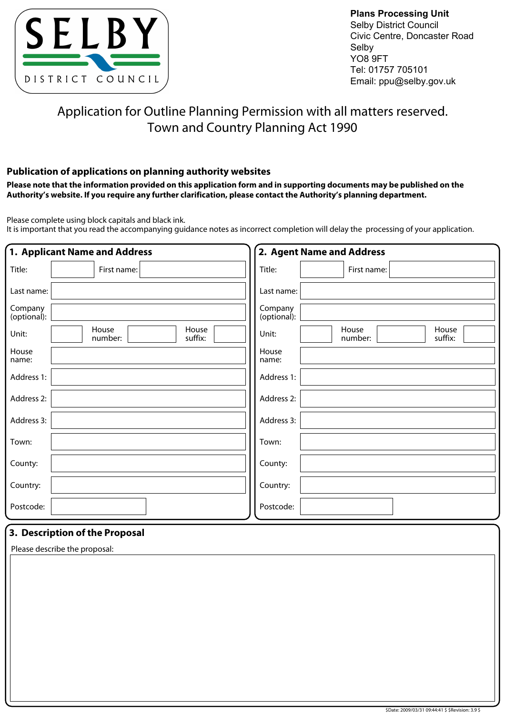

**Plans Processing Unit** Selby District Council Civic Centre, Doncaster Road Selby YO8 9FT Tel: 01757 705101 Email: ppu@selby.gov.uk

# Application for Outline Planning Permission with all matters reserved. Town and Country Planning Act 1990

# **Publication of applications on planning authority websites**

**Please note that the information provided on this application form and in supporting documents may be published on the Authority's website. If you require any further clarification, please contact the Authority's planning department.**

Please complete using block capitals and black ink.

It is important that you read the accompanying guidance notes as incorrect completion will delay the processing of your application.

| 1. Applicant Name and Address                 | 2. Agent Name and Address                     |  |  |  |  |  |
|-----------------------------------------------|-----------------------------------------------|--|--|--|--|--|
| Title:<br>First name:                         | Title:<br>First name:                         |  |  |  |  |  |
| Last name:                                    | Last name:                                    |  |  |  |  |  |
| Company<br>(optional):                        | Company<br>(optional):                        |  |  |  |  |  |
| House<br>House<br>Unit:<br>suffix:<br>number: | House<br>House<br>Unit:<br>suffix:<br>number: |  |  |  |  |  |
| House<br>name:                                | House<br>name:                                |  |  |  |  |  |
| Address 1:                                    | Address 1:                                    |  |  |  |  |  |
| Address 2:                                    | Address 2:                                    |  |  |  |  |  |
| Address 3:                                    | Address 3:                                    |  |  |  |  |  |
| Town:                                         | Town:                                         |  |  |  |  |  |
| County:                                       | County:                                       |  |  |  |  |  |
| Country:                                      | Country:                                      |  |  |  |  |  |
| Postcode:                                     | Postcode:                                     |  |  |  |  |  |

# **3. Description of the Proposal**

Please describe the proposal: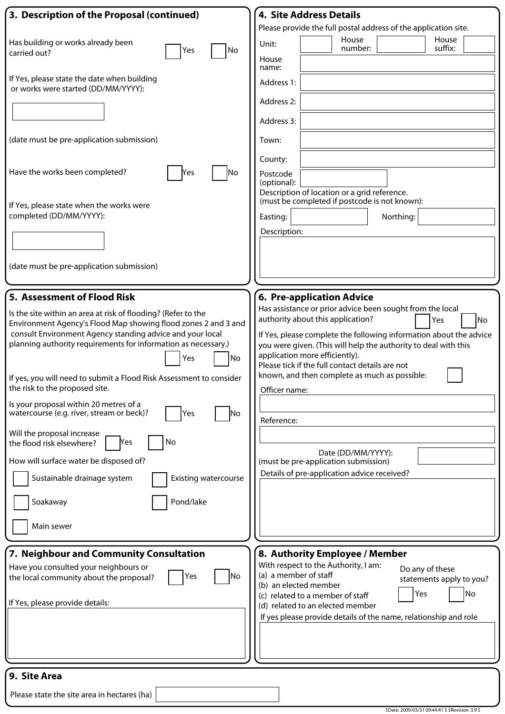| 3. Description of the Proposal (continued)                                                                                                                                                                                                                                                                                                                                                                                                                                                                                                                                                                                                                                                                             | <b>4. Site Address Details</b>                                                                                                                                                                                                                                                                                                                                                                                                                                                                                                         |
|------------------------------------------------------------------------------------------------------------------------------------------------------------------------------------------------------------------------------------------------------------------------------------------------------------------------------------------------------------------------------------------------------------------------------------------------------------------------------------------------------------------------------------------------------------------------------------------------------------------------------------------------------------------------------------------------------------------------|----------------------------------------------------------------------------------------------------------------------------------------------------------------------------------------------------------------------------------------------------------------------------------------------------------------------------------------------------------------------------------------------------------------------------------------------------------------------------------------------------------------------------------------|
| Has building or works already been<br>No<br>Yes<br>carried out?                                                                                                                                                                                                                                                                                                                                                                                                                                                                                                                                                                                                                                                        | Please provide the full postal address of the application site.<br>House<br>House<br>Unit:<br>number:<br>suffix:<br>House<br>name:                                                                                                                                                                                                                                                                                                                                                                                                     |
| If Yes, please state the date when building<br>or works were started (DD/MM/YYYY):                                                                                                                                                                                                                                                                                                                                                                                                                                                                                                                                                                                                                                     | Address 1:<br>Address 2:<br>Address 3:                                                                                                                                                                                                                                                                                                                                                                                                                                                                                                 |
| (date must be pre-application submission)                                                                                                                                                                                                                                                                                                                                                                                                                                                                                                                                                                                                                                                                              | Town:<br>County:                                                                                                                                                                                                                                                                                                                                                                                                                                                                                                                       |
| Have the works been completed?<br>lNo<br>Yes                                                                                                                                                                                                                                                                                                                                                                                                                                                                                                                                                                                                                                                                           | Postcode<br>(optional):<br>Description of location or a grid reference.<br>(must be completed if postcode is not known):                                                                                                                                                                                                                                                                                                                                                                                                               |
| If Yes, please state when the works were<br>completed (DD/MM/YYYY):                                                                                                                                                                                                                                                                                                                                                                                                                                                                                                                                                                                                                                                    | Northing:<br>Easting:<br>Description:                                                                                                                                                                                                                                                                                                                                                                                                                                                                                                  |
| (date must be pre-application submission)                                                                                                                                                                                                                                                                                                                                                                                                                                                                                                                                                                                                                                                                              |                                                                                                                                                                                                                                                                                                                                                                                                                                                                                                                                        |
| 5. Assessment of Flood Risk                                                                                                                                                                                                                                                                                                                                                                                                                                                                                                                                                                                                                                                                                            | 6. Pre-application Advice                                                                                                                                                                                                                                                                                                                                                                                                                                                                                                              |
| Is the site within an area at risk of flooding? (Refer to the<br>Environment Agency's Flood Map showing flood zones 2 and 3 and<br>consult Environment Agency standing advice and your local<br>planning authority requirements for information as necessary.)<br>No<br>Yes<br>If yes, you will need to submit a Flood Risk Assessment to consider<br>the risk to the proposed site.<br>Is your proposal within 20 metres of a<br>watercourse (e.g. river, stream or beck)?<br>Yes<br><b>No</b><br>Will the proposal increase<br>No<br>Yes<br>the flood risk elsewhere?<br>How will surface water be disposed of?<br>Sustainable drainage system<br><b>Existing watercourse</b><br>Pond/lake<br>Soakaway<br>Main sewer | Has assistance or prior advice been sought from the local<br>authority about this application?<br>Yes<br>No<br>If Yes, please complete the following information about the advice<br>you were given. (This will help the authority to deal with this<br>application more efficiently).<br>Please tick if the full contact details are not<br>known, and then complete as much as possible:<br>Officer name:<br>Reference:<br>Date (DD/MM/YYYY):<br>(must be pre-application submission)<br>Details of pre-application advice received? |
| 7. Neighbour and Community Consultation<br>Have you consulted your neighbours or<br>No<br>Yes<br>the local community about the proposal?<br>If Yes, please provide details:                                                                                                                                                                                                                                                                                                                                                                                                                                                                                                                                            | 8. Authority Employee / Member<br>With respect to the Authority, I am:<br>Do any of these<br>(a) a member of staff<br>statements apply to you?<br>(b) an elected member<br>No<br>Yes<br>(c) related to a member of staff<br>(d) related to an elected member<br>If yes please provide details of the name, relationship and role                                                                                                                                                                                                       |
| 9. Site Area                                                                                                                                                                                                                                                                                                                                                                                                                                                                                                                                                                                                                                                                                                           |                                                                                                                                                                                                                                                                                                                                                                                                                                                                                                                                        |
| Please state the site area in hectares (ha)                                                                                                                                                                                                                                                                                                                                                                                                                                                                                                                                                                                                                                                                            |                                                                                                                                                                                                                                                                                                                                                                                                                                                                                                                                        |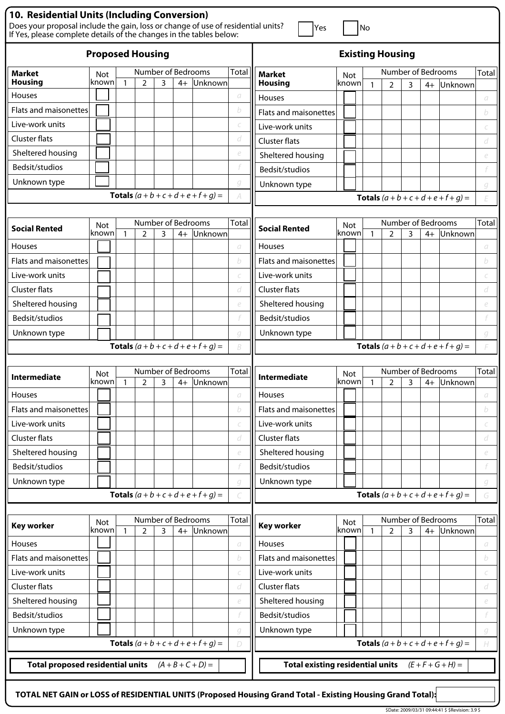| 10. Residential Units (Including Conversion)                                                                                                            |                         |              |                    |   |      |                                               |              |                                           |            |          |              |                         |   |      |                                               |              |
|---------------------------------------------------------------------------------------------------------------------------------------------------------|-------------------------|--------------|--------------------|---|------|-----------------------------------------------|--------------|-------------------------------------------|------------|----------|--------------|-------------------------|---|------|-----------------------------------------------|--------------|
| Does your proposal include the gain, loss or change of use of residential units?<br>If Yes, please complete details of the changes in the tables below: |                         |              |                    |   |      |                                               |              | Yes                                       |            |          | No           |                         |   |      |                                               |              |
|                                                                                                                                                         | <b>Proposed Housing</b> |              |                    |   |      |                                               |              |                                           |            |          |              | <b>Existing Housing</b> |   |      |                                               |              |
| <b>Market</b>                                                                                                                                           | <b>Not</b>              |              | Number of Bedrooms |   |      |                                               | Total        | <b>Market</b>                             | Not        |          |              | Number of Bedrooms      |   |      |                                               | Total        |
| <b>Housing</b><br>Houses                                                                                                                                | lknown                  | $\mathbf{1}$ | $\overline{2}$     | 3 | $4+$ | Unknown                                       | а            | <b>Housing</b>                            | known      |          | $\mathbf{1}$ | 2                       | 3 | $4+$ | Unknown                                       |              |
| <b>Flats and maisonettes</b>                                                                                                                            |                         |              |                    |   |      |                                               | b            | Houses                                    |            |          |              |                         |   |      |                                               | а            |
| Live-work units                                                                                                                                         |                         |              |                    |   |      |                                               |              | <b>Flats and maisonettes</b>              |            |          |              |                         |   |      |                                               | b            |
| Cluster flats                                                                                                                                           |                         |              |                    |   |      |                                               | d            | Live-work units                           |            |          |              |                         |   |      |                                               |              |
| Sheltered housing                                                                                                                                       |                         |              |                    |   |      |                                               | e            | <b>Cluster flats</b><br>Sheltered housing |            |          |              |                         |   |      |                                               | d            |
| Bedsit/studios                                                                                                                                          |                         |              |                    |   |      |                                               |              | Bedsit/studios                            |            |          |              |                         |   |      |                                               | e            |
| Unknown type                                                                                                                                            |                         |              |                    |   |      |                                               | g            |                                           |            |          |              |                         |   |      |                                               |              |
|                                                                                                                                                         |                         |              |                    |   |      | <b>Totals</b> $(a + b + c + d + e + f + g) =$ | A            | Unknown type                              |            |          |              |                         |   |      | <b>Totals</b> $(a + b + c + d + e + f + q) =$ | g<br>E       |
|                                                                                                                                                         |                         |              |                    |   |      |                                               |              |                                           |            |          |              |                         |   |      |                                               |              |
|                                                                                                                                                         | <b>Not</b>              |              | Number of Bedrooms |   |      |                                               | <b>Total</b> | <b>Social Rented</b>                      | <b>Not</b> |          |              | Number of Bedrooms      |   |      |                                               | Total        |
| <b>Social Rented</b>                                                                                                                                    | known                   | $\mathbf{1}$ | 2                  | 3 | $4+$ | Unknown                                       |              |                                           | known      |          | $\mathbf{1}$ | $\overline{2}$          | 3 | $4+$ | Unknown                                       |              |
| Houses                                                                                                                                                  |                         |              |                    |   |      |                                               | а            | <b>Houses</b>                             |            |          |              |                         |   |      |                                               | а            |
| Flats and maisonettes                                                                                                                                   |                         |              |                    |   |      |                                               | b            | <b>Flats and maisonettes</b>              |            |          |              |                         |   |      |                                               | b            |
| Live-work units                                                                                                                                         |                         |              |                    |   |      |                                               |              | Live-work units                           |            |          |              |                         |   |      |                                               |              |
| Cluster flats                                                                                                                                           |                         |              |                    |   |      |                                               | d            | <b>Cluster flats</b>                      |            |          |              |                         |   |      |                                               | d            |
| Sheltered housing                                                                                                                                       |                         |              |                    |   |      |                                               | e            | Sheltered housing                         |            |          |              |                         |   |      |                                               | e            |
| Bedsit/studios                                                                                                                                          |                         |              |                    |   |      |                                               |              | Bedsit/studios                            |            |          |              |                         |   |      |                                               |              |
| Unknown type                                                                                                                                            |                         |              |                    |   |      |                                               | q            | Unknown type                              |            |          |              |                         |   |      |                                               | g            |
|                                                                                                                                                         |                         |              |                    |   |      | <b>Totals</b> $(a + b + c + d + e + f + q) =$ | B            |                                           |            |          |              |                         |   |      | <b>Totals</b> $(a + b + c + d + e + f + g) =$ |              |
|                                                                                                                                                         |                         |              | Number of Bedrooms |   |      |                                               |              |                                           |            |          |              | Number of Bedrooms      |   |      |                                               | Total        |
| <b>Intermediate</b>                                                                                                                                     | <b>Not</b><br> known  1 |              | $\mathcal{D}$      | ς |      | 4+ Unknown                                    | Total        | <b>Intermediate</b>                       | Not        | known  1 |              | $\mathcal{P}$           | ς |      | 4+ Unknown                                    |              |
| Houses                                                                                                                                                  |                         |              |                    |   |      |                                               | а            | <b>Houses</b>                             |            |          |              |                         |   |      |                                               | а            |
| Flats and maisonettes                                                                                                                                   |                         |              |                    |   |      |                                               | b            | Flats and maisonettes                     |            |          |              |                         |   |      |                                               | b            |
| Live-work units                                                                                                                                         |                         |              |                    |   |      |                                               |              | Live-work units                           |            |          |              |                         |   |      |                                               |              |
| <b>Cluster flats</b>                                                                                                                                    |                         |              |                    |   |      |                                               | d            | <b>Cluster flats</b>                      |            |          |              |                         |   |      |                                               | d            |
| Sheltered housing                                                                                                                                       |                         |              |                    |   |      |                                               | e            | Sheltered housing                         |            |          |              |                         |   |      |                                               | e            |
| Bedsit/studios                                                                                                                                          |                         |              |                    |   |      |                                               |              | Bedsit/studios                            |            |          |              |                         |   |      |                                               |              |
| Unknown type                                                                                                                                            |                         |              |                    |   |      |                                               | g            | Unknown type                              |            |          |              |                         |   |      |                                               | g            |
|                                                                                                                                                         |                         |              |                    |   |      | <b>Totals</b> $(a + b + c + d + e + f + q) =$ |              |                                           |            |          |              |                         |   |      | <b>Totals</b> $(a + b + c + d + e + f + g) =$ | G            |
|                                                                                                                                                         |                         |              |                    |   |      |                                               |              |                                           |            |          |              |                         |   |      |                                               |              |
| <b>Key worker</b>                                                                                                                                       | Not                     |              | Number of Bedrooms |   |      |                                               | <b>Total</b> | <b>Key worker</b>                         | Not        |          |              | Number of Bedrooms      |   |      |                                               | <b>Total</b> |
| Houses                                                                                                                                                  | known                   | $\mathbf{1}$ | 2                  | 3 | $4+$ | Unknown                                       | а            | Houses                                    | known      |          | $\mathbf{1}$ | $\overline{2}$          | 3 | $4+$ | Unknown                                       | а            |
| Flats and maisonettes                                                                                                                                   |                         |              |                    |   |      |                                               | b            | <b>Flats and maisonettes</b>              |            |          |              |                         |   |      |                                               | b            |
| Live-work units                                                                                                                                         |                         |              |                    |   |      |                                               | C            | Live-work units                           |            |          |              |                         |   |      |                                               |              |
| <b>Cluster flats</b>                                                                                                                                    |                         |              |                    |   |      |                                               | d            | <b>Cluster flats</b>                      |            |          |              |                         |   |      |                                               | C<br>d       |
| Sheltered housing                                                                                                                                       |                         |              |                    |   |      |                                               | e            | Sheltered housing                         |            |          |              |                         |   |      |                                               | e            |
| Bedsit/studios                                                                                                                                          |                         |              |                    |   |      |                                               |              | Bedsit/studios                            |            |          |              |                         |   |      |                                               |              |
| Unknown type                                                                                                                                            |                         |              |                    |   |      |                                               | g            | Unknown type                              |            |          |              |                         |   |      |                                               | g            |
|                                                                                                                                                         |                         |              |                    |   |      | <b>Totals</b> $(a + b + c + d + e + f + g) =$ | D            |                                           |            |          |              |                         |   |      | <b>Totals</b> $(a + b + c + d + e + f + g) =$ | H            |
|                                                                                                                                                         |                         |              |                    |   |      |                                               |              |                                           |            |          |              |                         |   |      |                                               |              |
| <b>Total proposed residential units</b>                                                                                                                 |                         |              |                    |   |      | $(A + B + C + D) =$                           |              | <b>Total existing residential units</b>   |            |          |              |                         |   |      | $(E + F + G + H) =$                           |              |
|                                                                                                                                                         |                         |              |                    |   |      |                                               |              |                                           |            |          |              |                         |   |      |                                               |              |

**TOTAL NET GAIN or LOSS of RESIDENTIAL UNITS (Proposed Housing Grand Total - Existing Housing Grand Total):**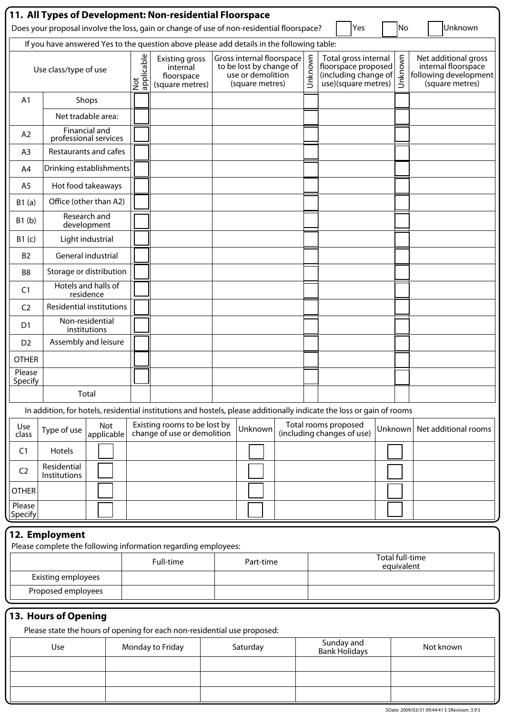|                   | 11. All Types of Development: Non-residential Floorspace<br>Yes<br>Unknown<br>Does your proposal involve the loss, gain or change of use of non-residential floorspace?<br>No |                 |                                                                    |  |                                                                                              |  |         |                                                                                            |         |                                                                                         |
|-------------------|-------------------------------------------------------------------------------------------------------------------------------------------------------------------------------|-----------------|--------------------------------------------------------------------|--|----------------------------------------------------------------------------------------------|--|---------|--------------------------------------------------------------------------------------------|---------|-----------------------------------------------------------------------------------------|
|                   | If you have answered Yes to the question above please add details in the following table:                                                                                     |                 |                                                                    |  |                                                                                              |  |         |                                                                                            |         |                                                                                         |
|                   | Use class/type of use                                                                                                                                                         | applicable<br>Š | <b>Existing gross</b><br>internal<br>floorspace<br>(square metres) |  | Gross internal floorspace<br>to be lost by change of<br>use or demolition<br>(square metres) |  | Unknown | Total gross internal<br>floorspace proposed<br>(including change of<br>use)(square metres) | Unknown | Net additional gross<br>internal floorspace<br>following development<br>(square metres) |
| A <sub>1</sub>    | Shops                                                                                                                                                                         |                 |                                                                    |  |                                                                                              |  |         |                                                                                            |         |                                                                                         |
|                   | Net tradable area:                                                                                                                                                            |                 |                                                                    |  |                                                                                              |  |         |                                                                                            |         |                                                                                         |
| A2                | <b>Financial and</b><br>professional services                                                                                                                                 |                 |                                                                    |  |                                                                                              |  |         |                                                                                            |         |                                                                                         |
| A <sub>3</sub>    | Restaurants and cafes                                                                                                                                                         |                 |                                                                    |  |                                                                                              |  |         |                                                                                            |         |                                                                                         |
| A4                | Drinking establishments                                                                                                                                                       |                 |                                                                    |  |                                                                                              |  |         |                                                                                            |         |                                                                                         |
| A <sub>5</sub>    | Hot food takeaways                                                                                                                                                            |                 |                                                                    |  |                                                                                              |  |         |                                                                                            |         |                                                                                         |
| B1(a)             | Office (other than A2)                                                                                                                                                        |                 |                                                                    |  |                                                                                              |  |         |                                                                                            |         |                                                                                         |
| B1(b)             | Research and<br>development                                                                                                                                                   |                 |                                                                    |  |                                                                                              |  |         |                                                                                            |         |                                                                                         |
| B1(c)             | Light industrial                                                                                                                                                              |                 |                                                                    |  |                                                                                              |  |         |                                                                                            |         |                                                                                         |
| <b>B2</b>         | General industrial                                                                                                                                                            |                 |                                                                    |  |                                                                                              |  |         |                                                                                            |         |                                                                                         |
| B <sub>8</sub>    | Storage or distribution                                                                                                                                                       |                 |                                                                    |  |                                                                                              |  |         |                                                                                            |         |                                                                                         |
| C <sub>1</sub>    | Hotels and halls of<br>residence                                                                                                                                              |                 |                                                                    |  |                                                                                              |  |         |                                                                                            |         |                                                                                         |
| C <sub>2</sub>    | <b>Residential institutions</b>                                                                                                                                               |                 |                                                                    |  |                                                                                              |  |         |                                                                                            |         |                                                                                         |
| D <sub>1</sub>    | Non-residential<br>institutions                                                                                                                                               |                 |                                                                    |  |                                                                                              |  |         |                                                                                            |         |                                                                                         |
| D <sub>2</sub>    | Assembly and leisure                                                                                                                                                          |                 |                                                                    |  |                                                                                              |  |         |                                                                                            |         |                                                                                         |
| <b>OTHER</b>      |                                                                                                                                                                               |                 |                                                                    |  |                                                                                              |  |         |                                                                                            |         |                                                                                         |
| Please<br>Specify |                                                                                                                                                                               |                 |                                                                    |  |                                                                                              |  |         |                                                                                            |         |                                                                                         |
|                   | Total                                                                                                                                                                         |                 |                                                                    |  |                                                                                              |  |         |                                                                                            |         |                                                                                         |
|                   | In addition, for hotels, residential institutions and hostels, please additionally indicate the loss or gain of rooms                                                         |                 |                                                                    |  |                                                                                              |  |         |                                                                                            |         |                                                                                         |
| Use<br>class      | Not<br>Type of use<br>applicable                                                                                                                                              |                 | Existing rooms to be lost by<br>change of use or demolition        |  | Unknown                                                                                      |  |         | Total rooms proposed<br>(including changes of use)                                         | Unknown | Net additional rooms                                                                    |
| C <sub>1</sub>    | Hotels                                                                                                                                                                        |                 |                                                                    |  |                                                                                              |  |         |                                                                                            |         |                                                                                         |
| C <sub>2</sub>    | Residential<br><b>Institutions</b>                                                                                                                                            |                 |                                                                    |  |                                                                                              |  |         |                                                                                            |         |                                                                                         |
| <b>OTHER</b>      |                                                                                                                                                                               |                 |                                                                    |  |                                                                                              |  |         |                                                                                            |         |                                                                                         |
| Please<br>Specify |                                                                                                                                                                               |                 |                                                                    |  |                                                                                              |  |         |                                                                                            |         |                                                                                         |
|                   | 12. Employment                                                                                                                                                                |                 |                                                                    |  |                                                                                              |  |         |                                                                                            |         |                                                                                         |
|                   | Please complete the following information regarding employees:                                                                                                                |                 |                                                                    |  |                                                                                              |  |         |                                                                                            |         | <b>Total full-time</b>                                                                  |
|                   | <b>Existing employees</b>                                                                                                                                                     |                 | Full-time                                                          |  | Part-time                                                                                    |  |         |                                                                                            |         | equivalent                                                                              |
|                   | Proposed employees                                                                                                                                                            |                 |                                                                    |  |                                                                                              |  |         |                                                                                            |         |                                                                                         |
|                   |                                                                                                                                                                               |                 |                                                                    |  |                                                                                              |  |         |                                                                                            |         |                                                                                         |
|                   | 13. Hours of Opening                                                                                                                                                          |                 |                                                                    |  |                                                                                              |  |         |                                                                                            |         |                                                                                         |

Please state the hours of opening for each non-residential use proposed:

J

| Use | Monday to Friday | Saturday | Sunday and<br>Bank Holidays | Not known |
|-----|------------------|----------|-----------------------------|-----------|
|     |                  |          |                             |           |
|     |                  |          |                             |           |
|     |                  |          |                             |           |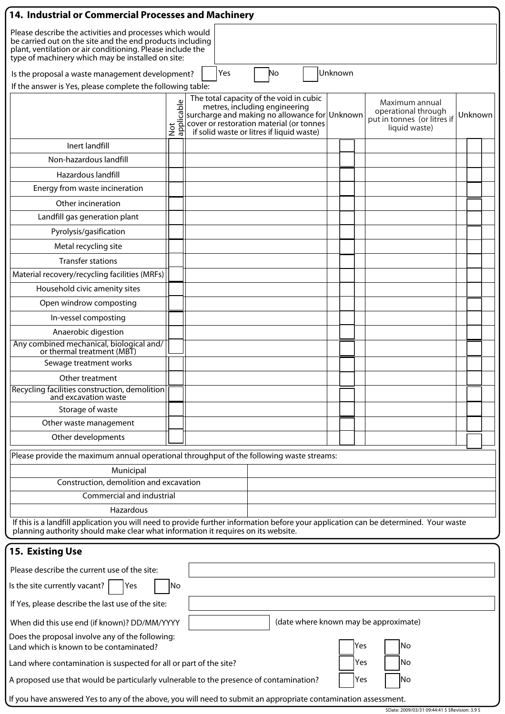| Please describe the activities and processes which would<br>be carried out on the site and the end products including<br>plant, ventilation or air conditioning. Please include the<br>type of machinery which may be installed on site:<br>Unknown<br>No<br>Is the proposal a waste management development?<br>Yes<br>If the answer is Yes, please complete the following table:<br>The total capacity of the void in cubic<br>$\mathbb U$<br>Maximum annual<br>metres, including engineering<br>Not<br>applicable<br>operational through<br>surcharge and making no allowance for Unknown<br>Unknown<br>put in tonnes (or litres if<br>cover or restoration material (or tonnes<br>liquid waste)<br>if solid waste or litres if liquid waste)<br>Inert landfill<br>Non-hazardous landfill<br>Hazardous landfill<br>Energy from waste incineration<br>Other incineration<br>Landfill gas generation plant<br>Pyrolysis/gasification<br>Metal recycling site<br><b>Transfer stations</b><br>Material recovery/recycling facilities (MRFs)<br>Household civic amenity sites<br>Open windrow composting<br>In-vessel composting<br>Anaerobic digestion<br>Any combined mechanical, biological and/<br>or thermal treatment (MBT)<br>Sewage treatment works<br>Other treatment<br>Recycling facilities construction, demolition<br>and excavation waste<br>Storage of waste<br>Other waste management<br>Other developments<br>Please provide the maximum annual operational throughput of the following waste streams:<br>Municipal<br>Construction, demolition and excavation<br>Commercial and industrial<br>Hazardous<br>If this is a landfill application you will need to provide further information before your application can be determined. Your waste<br>planning authority should make clear what information it requires on its website.<br><b>15. Existing Use</b><br>Please describe the current use of the site:<br>Is the site currently vacant? $ $<br> Yes<br> No<br>If Yes, please describe the last use of the site:<br>(date where known may be approximate)<br>When did this use end (if known)? DD/MM/YYYY<br>Does the proposal involve any of the following:<br>Yes<br> No<br>Land which is known to be contaminated?<br>Yes<br>lNo<br>Land where contamination is suspected for all or part of the site?<br>No<br>A proposed use that would be particularly vulnerable to the presence of contamination?<br>Yes<br>If you have answered Yes to any of the above, you will need to submit an appropriate contamination assessment.<br>\$Date: 2009/03/31 09:44:41 \$ \$Revision: 3.9 \$ | 14. Industrial or Commercial Processes and Machinery |  |  |  |  |  |  |  |  |  |  |
|----------------------------------------------------------------------------------------------------------------------------------------------------------------------------------------------------------------------------------------------------------------------------------------------------------------------------------------------------------------------------------------------------------------------------------------------------------------------------------------------------------------------------------------------------------------------------------------------------------------------------------------------------------------------------------------------------------------------------------------------------------------------------------------------------------------------------------------------------------------------------------------------------------------------------------------------------------------------------------------------------------------------------------------------------------------------------------------------------------------------------------------------------------------------------------------------------------------------------------------------------------------------------------------------------------------------------------------------------------------------------------------------------------------------------------------------------------------------------------------------------------------------------------------------------------------------------------------------------------------------------------------------------------------------------------------------------------------------------------------------------------------------------------------------------------------------------------------------------------------------------------------------------------------------------------------------------------------------------------------------------------------------------------------------------------------------------------------------------------------------------------------------------------------------------------------------------------------------------------------------------------------------------------------------------------------------------------------------------------------------------------------------------------------------------------------------------------------------------------------------------------------------------------------------------------------------------------------------------------------|------------------------------------------------------|--|--|--|--|--|--|--|--|--|--|
|                                                                                                                                                                                                                                                                                                                                                                                                                                                                                                                                                                                                                                                                                                                                                                                                                                                                                                                                                                                                                                                                                                                                                                                                                                                                                                                                                                                                                                                                                                                                                                                                                                                                                                                                                                                                                                                                                                                                                                                                                                                                                                                                                                                                                                                                                                                                                                                                                                                                                                                                                                                                                |                                                      |  |  |  |  |  |  |  |  |  |  |
|                                                                                                                                                                                                                                                                                                                                                                                                                                                                                                                                                                                                                                                                                                                                                                                                                                                                                                                                                                                                                                                                                                                                                                                                                                                                                                                                                                                                                                                                                                                                                                                                                                                                                                                                                                                                                                                                                                                                                                                                                                                                                                                                                                                                                                                                                                                                                                                                                                                                                                                                                                                                                |                                                      |  |  |  |  |  |  |  |  |  |  |
|                                                                                                                                                                                                                                                                                                                                                                                                                                                                                                                                                                                                                                                                                                                                                                                                                                                                                                                                                                                                                                                                                                                                                                                                                                                                                                                                                                                                                                                                                                                                                                                                                                                                                                                                                                                                                                                                                                                                                                                                                                                                                                                                                                                                                                                                                                                                                                                                                                                                                                                                                                                                                |                                                      |  |  |  |  |  |  |  |  |  |  |
|                                                                                                                                                                                                                                                                                                                                                                                                                                                                                                                                                                                                                                                                                                                                                                                                                                                                                                                                                                                                                                                                                                                                                                                                                                                                                                                                                                                                                                                                                                                                                                                                                                                                                                                                                                                                                                                                                                                                                                                                                                                                                                                                                                                                                                                                                                                                                                                                                                                                                                                                                                                                                |                                                      |  |  |  |  |  |  |  |  |  |  |
|                                                                                                                                                                                                                                                                                                                                                                                                                                                                                                                                                                                                                                                                                                                                                                                                                                                                                                                                                                                                                                                                                                                                                                                                                                                                                                                                                                                                                                                                                                                                                                                                                                                                                                                                                                                                                                                                                                                                                                                                                                                                                                                                                                                                                                                                                                                                                                                                                                                                                                                                                                                                                |                                                      |  |  |  |  |  |  |  |  |  |  |
|                                                                                                                                                                                                                                                                                                                                                                                                                                                                                                                                                                                                                                                                                                                                                                                                                                                                                                                                                                                                                                                                                                                                                                                                                                                                                                                                                                                                                                                                                                                                                                                                                                                                                                                                                                                                                                                                                                                                                                                                                                                                                                                                                                                                                                                                                                                                                                                                                                                                                                                                                                                                                |                                                      |  |  |  |  |  |  |  |  |  |  |
|                                                                                                                                                                                                                                                                                                                                                                                                                                                                                                                                                                                                                                                                                                                                                                                                                                                                                                                                                                                                                                                                                                                                                                                                                                                                                                                                                                                                                                                                                                                                                                                                                                                                                                                                                                                                                                                                                                                                                                                                                                                                                                                                                                                                                                                                                                                                                                                                                                                                                                                                                                                                                |                                                      |  |  |  |  |  |  |  |  |  |  |
|                                                                                                                                                                                                                                                                                                                                                                                                                                                                                                                                                                                                                                                                                                                                                                                                                                                                                                                                                                                                                                                                                                                                                                                                                                                                                                                                                                                                                                                                                                                                                                                                                                                                                                                                                                                                                                                                                                                                                                                                                                                                                                                                                                                                                                                                                                                                                                                                                                                                                                                                                                                                                |                                                      |  |  |  |  |  |  |  |  |  |  |
|                                                                                                                                                                                                                                                                                                                                                                                                                                                                                                                                                                                                                                                                                                                                                                                                                                                                                                                                                                                                                                                                                                                                                                                                                                                                                                                                                                                                                                                                                                                                                                                                                                                                                                                                                                                                                                                                                                                                                                                                                                                                                                                                                                                                                                                                                                                                                                                                                                                                                                                                                                                                                |                                                      |  |  |  |  |  |  |  |  |  |  |
|                                                                                                                                                                                                                                                                                                                                                                                                                                                                                                                                                                                                                                                                                                                                                                                                                                                                                                                                                                                                                                                                                                                                                                                                                                                                                                                                                                                                                                                                                                                                                                                                                                                                                                                                                                                                                                                                                                                                                                                                                                                                                                                                                                                                                                                                                                                                                                                                                                                                                                                                                                                                                |                                                      |  |  |  |  |  |  |  |  |  |  |
|                                                                                                                                                                                                                                                                                                                                                                                                                                                                                                                                                                                                                                                                                                                                                                                                                                                                                                                                                                                                                                                                                                                                                                                                                                                                                                                                                                                                                                                                                                                                                                                                                                                                                                                                                                                                                                                                                                                                                                                                                                                                                                                                                                                                                                                                                                                                                                                                                                                                                                                                                                                                                |                                                      |  |  |  |  |  |  |  |  |  |  |
|                                                                                                                                                                                                                                                                                                                                                                                                                                                                                                                                                                                                                                                                                                                                                                                                                                                                                                                                                                                                                                                                                                                                                                                                                                                                                                                                                                                                                                                                                                                                                                                                                                                                                                                                                                                                                                                                                                                                                                                                                                                                                                                                                                                                                                                                                                                                                                                                                                                                                                                                                                                                                |                                                      |  |  |  |  |  |  |  |  |  |  |
|                                                                                                                                                                                                                                                                                                                                                                                                                                                                                                                                                                                                                                                                                                                                                                                                                                                                                                                                                                                                                                                                                                                                                                                                                                                                                                                                                                                                                                                                                                                                                                                                                                                                                                                                                                                                                                                                                                                                                                                                                                                                                                                                                                                                                                                                                                                                                                                                                                                                                                                                                                                                                |                                                      |  |  |  |  |  |  |  |  |  |  |
|                                                                                                                                                                                                                                                                                                                                                                                                                                                                                                                                                                                                                                                                                                                                                                                                                                                                                                                                                                                                                                                                                                                                                                                                                                                                                                                                                                                                                                                                                                                                                                                                                                                                                                                                                                                                                                                                                                                                                                                                                                                                                                                                                                                                                                                                                                                                                                                                                                                                                                                                                                                                                |                                                      |  |  |  |  |  |  |  |  |  |  |
|                                                                                                                                                                                                                                                                                                                                                                                                                                                                                                                                                                                                                                                                                                                                                                                                                                                                                                                                                                                                                                                                                                                                                                                                                                                                                                                                                                                                                                                                                                                                                                                                                                                                                                                                                                                                                                                                                                                                                                                                                                                                                                                                                                                                                                                                                                                                                                                                                                                                                                                                                                                                                |                                                      |  |  |  |  |  |  |  |  |  |  |
|                                                                                                                                                                                                                                                                                                                                                                                                                                                                                                                                                                                                                                                                                                                                                                                                                                                                                                                                                                                                                                                                                                                                                                                                                                                                                                                                                                                                                                                                                                                                                                                                                                                                                                                                                                                                                                                                                                                                                                                                                                                                                                                                                                                                                                                                                                                                                                                                                                                                                                                                                                                                                |                                                      |  |  |  |  |  |  |  |  |  |  |
|                                                                                                                                                                                                                                                                                                                                                                                                                                                                                                                                                                                                                                                                                                                                                                                                                                                                                                                                                                                                                                                                                                                                                                                                                                                                                                                                                                                                                                                                                                                                                                                                                                                                                                                                                                                                                                                                                                                                                                                                                                                                                                                                                                                                                                                                                                                                                                                                                                                                                                                                                                                                                |                                                      |  |  |  |  |  |  |  |  |  |  |
|                                                                                                                                                                                                                                                                                                                                                                                                                                                                                                                                                                                                                                                                                                                                                                                                                                                                                                                                                                                                                                                                                                                                                                                                                                                                                                                                                                                                                                                                                                                                                                                                                                                                                                                                                                                                                                                                                                                                                                                                                                                                                                                                                                                                                                                                                                                                                                                                                                                                                                                                                                                                                |                                                      |  |  |  |  |  |  |  |  |  |  |
|                                                                                                                                                                                                                                                                                                                                                                                                                                                                                                                                                                                                                                                                                                                                                                                                                                                                                                                                                                                                                                                                                                                                                                                                                                                                                                                                                                                                                                                                                                                                                                                                                                                                                                                                                                                                                                                                                                                                                                                                                                                                                                                                                                                                                                                                                                                                                                                                                                                                                                                                                                                                                |                                                      |  |  |  |  |  |  |  |  |  |  |
|                                                                                                                                                                                                                                                                                                                                                                                                                                                                                                                                                                                                                                                                                                                                                                                                                                                                                                                                                                                                                                                                                                                                                                                                                                                                                                                                                                                                                                                                                                                                                                                                                                                                                                                                                                                                                                                                                                                                                                                                                                                                                                                                                                                                                                                                                                                                                                                                                                                                                                                                                                                                                |                                                      |  |  |  |  |  |  |  |  |  |  |
|                                                                                                                                                                                                                                                                                                                                                                                                                                                                                                                                                                                                                                                                                                                                                                                                                                                                                                                                                                                                                                                                                                                                                                                                                                                                                                                                                                                                                                                                                                                                                                                                                                                                                                                                                                                                                                                                                                                                                                                                                                                                                                                                                                                                                                                                                                                                                                                                                                                                                                                                                                                                                |                                                      |  |  |  |  |  |  |  |  |  |  |
|                                                                                                                                                                                                                                                                                                                                                                                                                                                                                                                                                                                                                                                                                                                                                                                                                                                                                                                                                                                                                                                                                                                                                                                                                                                                                                                                                                                                                                                                                                                                                                                                                                                                                                                                                                                                                                                                                                                                                                                                                                                                                                                                                                                                                                                                                                                                                                                                                                                                                                                                                                                                                |                                                      |  |  |  |  |  |  |  |  |  |  |
|                                                                                                                                                                                                                                                                                                                                                                                                                                                                                                                                                                                                                                                                                                                                                                                                                                                                                                                                                                                                                                                                                                                                                                                                                                                                                                                                                                                                                                                                                                                                                                                                                                                                                                                                                                                                                                                                                                                                                                                                                                                                                                                                                                                                                                                                                                                                                                                                                                                                                                                                                                                                                |                                                      |  |  |  |  |  |  |  |  |  |  |
|                                                                                                                                                                                                                                                                                                                                                                                                                                                                                                                                                                                                                                                                                                                                                                                                                                                                                                                                                                                                                                                                                                                                                                                                                                                                                                                                                                                                                                                                                                                                                                                                                                                                                                                                                                                                                                                                                                                                                                                                                                                                                                                                                                                                                                                                                                                                                                                                                                                                                                                                                                                                                |                                                      |  |  |  |  |  |  |  |  |  |  |
|                                                                                                                                                                                                                                                                                                                                                                                                                                                                                                                                                                                                                                                                                                                                                                                                                                                                                                                                                                                                                                                                                                                                                                                                                                                                                                                                                                                                                                                                                                                                                                                                                                                                                                                                                                                                                                                                                                                                                                                                                                                                                                                                                                                                                                                                                                                                                                                                                                                                                                                                                                                                                |                                                      |  |  |  |  |  |  |  |  |  |  |
|                                                                                                                                                                                                                                                                                                                                                                                                                                                                                                                                                                                                                                                                                                                                                                                                                                                                                                                                                                                                                                                                                                                                                                                                                                                                                                                                                                                                                                                                                                                                                                                                                                                                                                                                                                                                                                                                                                                                                                                                                                                                                                                                                                                                                                                                                                                                                                                                                                                                                                                                                                                                                |                                                      |  |  |  |  |  |  |  |  |  |  |
|                                                                                                                                                                                                                                                                                                                                                                                                                                                                                                                                                                                                                                                                                                                                                                                                                                                                                                                                                                                                                                                                                                                                                                                                                                                                                                                                                                                                                                                                                                                                                                                                                                                                                                                                                                                                                                                                                                                                                                                                                                                                                                                                                                                                                                                                                                                                                                                                                                                                                                                                                                                                                |                                                      |  |  |  |  |  |  |  |  |  |  |
|                                                                                                                                                                                                                                                                                                                                                                                                                                                                                                                                                                                                                                                                                                                                                                                                                                                                                                                                                                                                                                                                                                                                                                                                                                                                                                                                                                                                                                                                                                                                                                                                                                                                                                                                                                                                                                                                                                                                                                                                                                                                                                                                                                                                                                                                                                                                                                                                                                                                                                                                                                                                                |                                                      |  |  |  |  |  |  |  |  |  |  |
|                                                                                                                                                                                                                                                                                                                                                                                                                                                                                                                                                                                                                                                                                                                                                                                                                                                                                                                                                                                                                                                                                                                                                                                                                                                                                                                                                                                                                                                                                                                                                                                                                                                                                                                                                                                                                                                                                                                                                                                                                                                                                                                                                                                                                                                                                                                                                                                                                                                                                                                                                                                                                |                                                      |  |  |  |  |  |  |  |  |  |  |
|                                                                                                                                                                                                                                                                                                                                                                                                                                                                                                                                                                                                                                                                                                                                                                                                                                                                                                                                                                                                                                                                                                                                                                                                                                                                                                                                                                                                                                                                                                                                                                                                                                                                                                                                                                                                                                                                                                                                                                                                                                                                                                                                                                                                                                                                                                                                                                                                                                                                                                                                                                                                                |                                                      |  |  |  |  |  |  |  |  |  |  |
|                                                                                                                                                                                                                                                                                                                                                                                                                                                                                                                                                                                                                                                                                                                                                                                                                                                                                                                                                                                                                                                                                                                                                                                                                                                                                                                                                                                                                                                                                                                                                                                                                                                                                                                                                                                                                                                                                                                                                                                                                                                                                                                                                                                                                                                                                                                                                                                                                                                                                                                                                                                                                |                                                      |  |  |  |  |  |  |  |  |  |  |
|                                                                                                                                                                                                                                                                                                                                                                                                                                                                                                                                                                                                                                                                                                                                                                                                                                                                                                                                                                                                                                                                                                                                                                                                                                                                                                                                                                                                                                                                                                                                                                                                                                                                                                                                                                                                                                                                                                                                                                                                                                                                                                                                                                                                                                                                                                                                                                                                                                                                                                                                                                                                                |                                                      |  |  |  |  |  |  |  |  |  |  |
|                                                                                                                                                                                                                                                                                                                                                                                                                                                                                                                                                                                                                                                                                                                                                                                                                                                                                                                                                                                                                                                                                                                                                                                                                                                                                                                                                                                                                                                                                                                                                                                                                                                                                                                                                                                                                                                                                                                                                                                                                                                                                                                                                                                                                                                                                                                                                                                                                                                                                                                                                                                                                |                                                      |  |  |  |  |  |  |  |  |  |  |
|                                                                                                                                                                                                                                                                                                                                                                                                                                                                                                                                                                                                                                                                                                                                                                                                                                                                                                                                                                                                                                                                                                                                                                                                                                                                                                                                                                                                                                                                                                                                                                                                                                                                                                                                                                                                                                                                                                                                                                                                                                                                                                                                                                                                                                                                                                                                                                                                                                                                                                                                                                                                                |                                                      |  |  |  |  |  |  |  |  |  |  |
|                                                                                                                                                                                                                                                                                                                                                                                                                                                                                                                                                                                                                                                                                                                                                                                                                                                                                                                                                                                                                                                                                                                                                                                                                                                                                                                                                                                                                                                                                                                                                                                                                                                                                                                                                                                                                                                                                                                                                                                                                                                                                                                                                                                                                                                                                                                                                                                                                                                                                                                                                                                                                |                                                      |  |  |  |  |  |  |  |  |  |  |
|                                                                                                                                                                                                                                                                                                                                                                                                                                                                                                                                                                                                                                                                                                                                                                                                                                                                                                                                                                                                                                                                                                                                                                                                                                                                                                                                                                                                                                                                                                                                                                                                                                                                                                                                                                                                                                                                                                                                                                                                                                                                                                                                                                                                                                                                                                                                                                                                                                                                                                                                                                                                                |                                                      |  |  |  |  |  |  |  |  |  |  |
|                                                                                                                                                                                                                                                                                                                                                                                                                                                                                                                                                                                                                                                                                                                                                                                                                                                                                                                                                                                                                                                                                                                                                                                                                                                                                                                                                                                                                                                                                                                                                                                                                                                                                                                                                                                                                                                                                                                                                                                                                                                                                                                                                                                                                                                                                                                                                                                                                                                                                                                                                                                                                |                                                      |  |  |  |  |  |  |  |  |  |  |
|                                                                                                                                                                                                                                                                                                                                                                                                                                                                                                                                                                                                                                                                                                                                                                                                                                                                                                                                                                                                                                                                                                                                                                                                                                                                                                                                                                                                                                                                                                                                                                                                                                                                                                                                                                                                                                                                                                                                                                                                                                                                                                                                                                                                                                                                                                                                                                                                                                                                                                                                                                                                                |                                                      |  |  |  |  |  |  |  |  |  |  |
|                                                                                                                                                                                                                                                                                                                                                                                                                                                                                                                                                                                                                                                                                                                                                                                                                                                                                                                                                                                                                                                                                                                                                                                                                                                                                                                                                                                                                                                                                                                                                                                                                                                                                                                                                                                                                                                                                                                                                                                                                                                                                                                                                                                                                                                                                                                                                                                                                                                                                                                                                                                                                |                                                      |  |  |  |  |  |  |  |  |  |  |
|                                                                                                                                                                                                                                                                                                                                                                                                                                                                                                                                                                                                                                                                                                                                                                                                                                                                                                                                                                                                                                                                                                                                                                                                                                                                                                                                                                                                                                                                                                                                                                                                                                                                                                                                                                                                                                                                                                                                                                                                                                                                                                                                                                                                                                                                                                                                                                                                                                                                                                                                                                                                                |                                                      |  |  |  |  |  |  |  |  |  |  |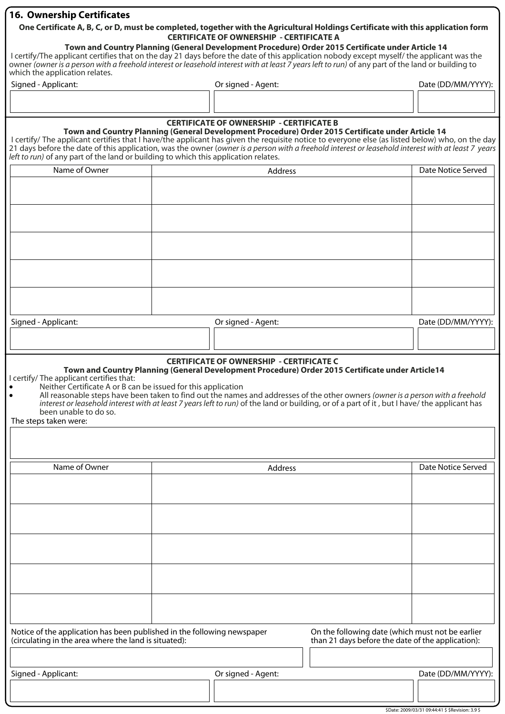## **16. Ownership Certificates**

## **One Certificate A, B, C, or D, must be completed, together with the Agricultural Holdings Certificate with this application form CERTIFICATE OF OWNERSHIP - CERTIFICATE A**

## **Town and Country Planning (General Development Procedure) Order 2015 Certificate under Article 14**

I certify/The applicant certifies that on the day 21 days before the date of this application nobody except myself/ the applicant was the owner (owner is a person with a freehold interest or leasehold interest with at least 7 years left to run) of any part of the land or building to which the application relates.

| Signed - Applicant: | Or signed - Agent: | Date (DD/MM/YYYY): |
|---------------------|--------------------|--------------------|
|                     |                    |                    |
|                     |                    |                    |

# **CERTIFICATE OF OWNERSHIP - CERTIFICATE B**

**Town and Country Planning (General Development Procedure) Order 2015 Certificate under Article 14** I certify/ The applicant certifies that I have/the applicant has given the requisite notice to everyone else (as listed below) who, on the day 21 days before the date of this application, was the owner (owner is a person with a freehold interest or leasehold interest with at least 7 years left to run) of any part of the land or building to which this application relates.

| Name of Owner       | Address            | Date Notice Served |
|---------------------|--------------------|--------------------|
|                     |                    |                    |
|                     |                    |                    |
|                     |                    |                    |
|                     |                    |                    |
|                     |                    |                    |
|                     |                    |                    |
|                     |                    |                    |
|                     |                    |                    |
|                     |                    |                    |
|                     |                    |                    |
| Signed - Applicant: | Or signed - Agent: | Date (DD/MM/YYYY): |
|                     |                    |                    |
|                     |                    |                    |

#### **CERTIFICATE OF OWNERSHIP - CERTIFICATE C**

#### **Town and Country Planning (General Development Procedure) Order 2015 Certificate under Article14**  I certify/ The applicant certifies that:

- Neither Certificate A or B can be issued for this application<br>• All reasonable steps have been taken to find out the names
- All reasonable steps have been taken to find out the names and addresses of the other owners (owner is a person with a freehold interest or leasehold interest with at least 7 years left to run) of the land or building, or of a part of it , but I have/ the applicant has been unable to do so.
- The steps taken were:

| Name of Owner                                                                                                                    | Address            |                                                                                                       | Date Notice Served |
|----------------------------------------------------------------------------------------------------------------------------------|--------------------|-------------------------------------------------------------------------------------------------------|--------------------|
|                                                                                                                                  |                    |                                                                                                       |                    |
|                                                                                                                                  |                    |                                                                                                       |                    |
|                                                                                                                                  |                    |                                                                                                       |                    |
|                                                                                                                                  |                    |                                                                                                       |                    |
|                                                                                                                                  |                    |                                                                                                       |                    |
|                                                                                                                                  |                    |                                                                                                       |                    |
|                                                                                                                                  |                    |                                                                                                       |                    |
|                                                                                                                                  |                    |                                                                                                       |                    |
|                                                                                                                                  |                    |                                                                                                       |                    |
|                                                                                                                                  |                    |                                                                                                       |                    |
| Notice of the application has been published in the following newspaper<br>(circulating in the area where the land is situated): |                    | On the following date (which must not be earlier<br>than 21 days before the date of the application): |                    |
|                                                                                                                                  |                    |                                                                                                       |                    |
| Signed - Applicant:                                                                                                              | Or signed - Agent: |                                                                                                       | Date (DD/MM/YYYY): |
|                                                                                                                                  |                    |                                                                                                       |                    |
|                                                                                                                                  |                    |                                                                                                       |                    |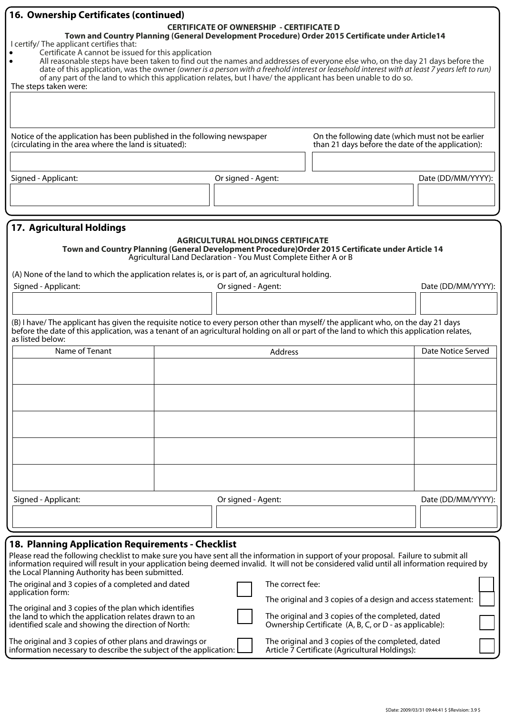|                                                                                                                                                                                                                                                                                       | <b>16. Ownership Certificates (continued)</b> |                                                                 |                                                                                                   |                    |  |  |  |  |  |
|---------------------------------------------------------------------------------------------------------------------------------------------------------------------------------------------------------------------------------------------------------------------------------------|-----------------------------------------------|-----------------------------------------------------------------|---------------------------------------------------------------------------------------------------|--------------------|--|--|--|--|--|
| <b>CERTIFICATE OF OWNERSHIP - CERTIFICATE D</b><br>Town and Country Planning (General Development Procedure) Order 2015 Certificate under Article14                                                                                                                                   |                                               |                                                                 |                                                                                                   |                    |  |  |  |  |  |
| I certify/ The applicant certifies that:                                                                                                                                                                                                                                              |                                               |                                                                 |                                                                                                   |                    |  |  |  |  |  |
| Certificate A cannot be issued for this application                                                                                                                                                                                                                                   |                                               |                                                                 |                                                                                                   |                    |  |  |  |  |  |
| All reasonable steps have been taken to find out the names and addresses of everyone else who, on the day 21 days before the                                                                                                                                                          |                                               |                                                                 |                                                                                                   |                    |  |  |  |  |  |
| date of this application, was the owner (owner is a person with a freehold interest or leasehold interest with at least 7 years left to run)                                                                                                                                          |                                               |                                                                 |                                                                                                   |                    |  |  |  |  |  |
| of any part of the land to which this application relates, but I have/ the applicant has been unable to do so.<br>The steps taken were:                                                                                                                                               |                                               |                                                                 |                                                                                                   |                    |  |  |  |  |  |
|                                                                                                                                                                                                                                                                                       |                                               |                                                                 |                                                                                                   |                    |  |  |  |  |  |
|                                                                                                                                                                                                                                                                                       |                                               |                                                                 |                                                                                                   |                    |  |  |  |  |  |
|                                                                                                                                                                                                                                                                                       |                                               |                                                                 |                                                                                                   |                    |  |  |  |  |  |
|                                                                                                                                                                                                                                                                                       |                                               |                                                                 |                                                                                                   |                    |  |  |  |  |  |
| Notice of the application has been published in the following newspaper                                                                                                                                                                                                               |                                               |                                                                 | On the following date (which must not be earlier                                                  |                    |  |  |  |  |  |
| (circulating in the area where the land is situated):                                                                                                                                                                                                                                 |                                               |                                                                 | than 21 days before the date of the application):                                                 |                    |  |  |  |  |  |
|                                                                                                                                                                                                                                                                                       |                                               |                                                                 |                                                                                                   |                    |  |  |  |  |  |
|                                                                                                                                                                                                                                                                                       |                                               |                                                                 |                                                                                                   |                    |  |  |  |  |  |
| Signed - Applicant:                                                                                                                                                                                                                                                                   |                                               | Or signed - Agent:                                              |                                                                                                   | Date (DD/MM/YYYY): |  |  |  |  |  |
|                                                                                                                                                                                                                                                                                       |                                               |                                                                 |                                                                                                   |                    |  |  |  |  |  |
|                                                                                                                                                                                                                                                                                       |                                               |                                                                 |                                                                                                   |                    |  |  |  |  |  |
|                                                                                                                                                                                                                                                                                       |                                               |                                                                 |                                                                                                   |                    |  |  |  |  |  |
| 17. Agricultural Holdings                                                                                                                                                                                                                                                             |                                               |                                                                 |                                                                                                   |                    |  |  |  |  |  |
|                                                                                                                                                                                                                                                                                       |                                               | <b>AGRICULTURAL HOLDINGS CERTIFICATE</b>                        |                                                                                                   |                    |  |  |  |  |  |
|                                                                                                                                                                                                                                                                                       |                                               |                                                                 | Town and Country Planning (General Development Procedure) Order 2015 Certificate under Article 14 |                    |  |  |  |  |  |
|                                                                                                                                                                                                                                                                                       |                                               | Agricultural Land Declaration - You Must Complete Either A or B |                                                                                                   |                    |  |  |  |  |  |
|                                                                                                                                                                                                                                                                                       |                                               |                                                                 |                                                                                                   |                    |  |  |  |  |  |
| (A) None of the land to which the application relates is, or is part of, an agricultural holding.                                                                                                                                                                                     |                                               |                                                                 |                                                                                                   |                    |  |  |  |  |  |
| Signed - Applicant:                                                                                                                                                                                                                                                                   |                                               | Or signed - Agent:                                              |                                                                                                   | Date (DD/MM/YYYY): |  |  |  |  |  |
|                                                                                                                                                                                                                                                                                       |                                               |                                                                 |                                                                                                   |                    |  |  |  |  |  |
|                                                                                                                                                                                                                                                                                       |                                               |                                                                 |                                                                                                   |                    |  |  |  |  |  |
| (B) I have/The applicant has given the requisite notice to every person other than myself/the applicant who, on the day 21 days                                                                                                                                                       |                                               |                                                                 |                                                                                                   |                    |  |  |  |  |  |
| before the date of this application, was a tenant of an agricultural holding on all or part of the land to which this application relates,                                                                                                                                            |                                               |                                                                 |                                                                                                   |                    |  |  |  |  |  |
| as listed below:                                                                                                                                                                                                                                                                      |                                               |                                                                 |                                                                                                   |                    |  |  |  |  |  |
| Name of Tenant                                                                                                                                                                                                                                                                        |                                               | Address                                                         |                                                                                                   | Date Notice Served |  |  |  |  |  |
|                                                                                                                                                                                                                                                                                       |                                               |                                                                 |                                                                                                   |                    |  |  |  |  |  |
|                                                                                                                                                                                                                                                                                       |                                               |                                                                 |                                                                                                   |                    |  |  |  |  |  |
|                                                                                                                                                                                                                                                                                       |                                               |                                                                 |                                                                                                   |                    |  |  |  |  |  |
|                                                                                                                                                                                                                                                                                       |                                               |                                                                 |                                                                                                   |                    |  |  |  |  |  |
|                                                                                                                                                                                                                                                                                       |                                               |                                                                 |                                                                                                   |                    |  |  |  |  |  |
|                                                                                                                                                                                                                                                                                       |                                               |                                                                 |                                                                                                   |                    |  |  |  |  |  |
|                                                                                                                                                                                                                                                                                       |                                               |                                                                 |                                                                                                   |                    |  |  |  |  |  |
|                                                                                                                                                                                                                                                                                       |                                               |                                                                 |                                                                                                   |                    |  |  |  |  |  |
|                                                                                                                                                                                                                                                                                       |                                               |                                                                 |                                                                                                   |                    |  |  |  |  |  |
|                                                                                                                                                                                                                                                                                       |                                               |                                                                 |                                                                                                   |                    |  |  |  |  |  |
|                                                                                                                                                                                                                                                                                       |                                               |                                                                 |                                                                                                   |                    |  |  |  |  |  |
|                                                                                                                                                                                                                                                                                       |                                               |                                                                 |                                                                                                   |                    |  |  |  |  |  |
|                                                                                                                                                                                                                                                                                       |                                               |                                                                 |                                                                                                   |                    |  |  |  |  |  |
| Signed - Applicant:                                                                                                                                                                                                                                                                   |                                               | Or signed - Agent:                                              |                                                                                                   | Date (DD/MM/YYYY): |  |  |  |  |  |
|                                                                                                                                                                                                                                                                                       |                                               |                                                                 |                                                                                                   |                    |  |  |  |  |  |
|                                                                                                                                                                                                                                                                                       |                                               |                                                                 |                                                                                                   |                    |  |  |  |  |  |
|                                                                                                                                                                                                                                                                                       |                                               |                                                                 |                                                                                                   |                    |  |  |  |  |  |
| 18. Planning Application Requirements - Checklist                                                                                                                                                                                                                                     |                                               |                                                                 |                                                                                                   |                    |  |  |  |  |  |
| Please read the following checklist to make sure you have sent all the information in support of your proposal. Failure to submit all<br>information required will result in your application being deemed invalid. It will not be considered valid until all information required by |                                               |                                                                 |                                                                                                   |                    |  |  |  |  |  |
| the Local Planning Authority has been submitted.                                                                                                                                                                                                                                      |                                               |                                                                 |                                                                                                   |                    |  |  |  |  |  |

| The original and 3 copies of a completed and dated<br>application form:                                       | The correct fee:                                                                                            |
|---------------------------------------------------------------------------------------------------------------|-------------------------------------------------------------------------------------------------------------|
| The original and 3 copies of the plan which identifies                                                        | The original and 3 copies of a design and access statement:                                                 |
| the land to which the application relates drawn to an<br>identified scale and showing the direction of North: | The original and 3 copies of the completed, dated<br>Ownership Certificate (A, B, C, or D - as applicable): |

The original and 3 copies of other plans and drawings or information necessary to describe the subject of the application:

### The original and 3 copies of the completed, dated Article 7 Certificate (Agricultural Holdings):